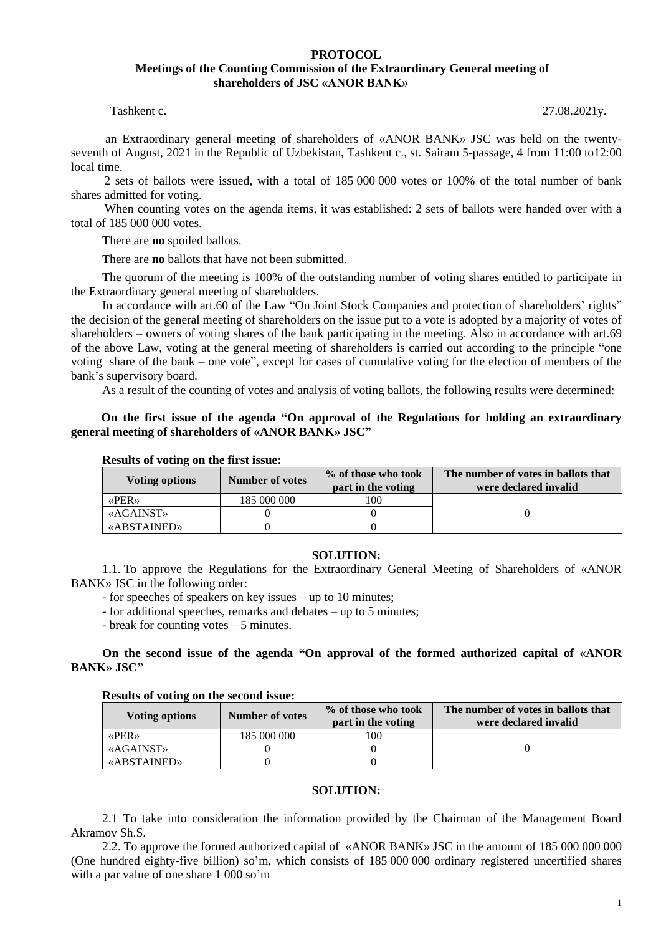# **PROTOCOL Meetings of the Counting Commission of the Extraordinary General meeting of shareholders of JSC «ANOR BANK»**

Tashkent c. 27.08.2021y.

an Extraordinary general meeting of shareholders of «ANOR BANK» JSC was held on the twentyseventh of August, 2021 in the Republic of Uzbekistan, Tashkent c., st. Sairam 5-passage, 4 from 11:00 to12:00 local time.

 2 sets of ballots were issued, with a total of 185 000 000 votes or 100% of the total number of bank shares admitted for voting.

 When counting votes on the agenda items, it was established: 2 sets of ballots were handed over with a total of 185 000 000 votes.

There are **no** spoiled ballots.

There are **no** ballots that have not been submitted.

The quorum of the meeting is 100% of the outstanding number of voting shares entitled to participate in the Extraordinary general meeting of shareholders.

In accordance with art.60 of the Law "On Joint Stock Companies and protection of shareholders' rights" the decision of the general meeting of shareholders on the issue put to a vote is adopted by a majority of votes of shareholders – owners of voting shares of the bank participating in the meeting. Also in accordance with art.69 of the above Law, voting at the general meeting of shareholders is carried out according to the principle "one voting share of the bank – one vote", except for cases of cumulative voting for the election of members of the bank's supervisory board.

As a result of the counting of votes and analysis of voting ballots, the following results were determined:

# **On the first issue of the agenda "On approval of the Regulations for holding an extraordinary general meeting of shareholders of «ANOR BANK» JSC"**

| Voting options                | <b>Number of votes</b> | % of those who took<br>part in the voting | The number of votes in ballots that<br>were declared invalid |
|-------------------------------|------------------------|-------------------------------------------|--------------------------------------------------------------|
| $\langle$ PER <sub>&gt;</sub> | 185 000 000            | 100                                       |                                                              |
| <b>«AGAINST»</b>              |                        |                                           |                                                              |
| «ABSTAINED»                   |                        |                                           |                                                              |

### **Results of voting on the first issue:**

#### **SOLUTION:**

1.1. To approve the Regulations for the Extraordinary General Meeting of Shareholders of «ANOR BANK» JSC in the following order:

- for speeches of speakers on key issues – up to 10 minutes;

- for additional speeches, remarks and debates – up to 5 minutes;

- break for counting votes – 5 minutes.

### **On the second issue of the agenda "On approval of the formed authorized capital of «ANOR BANK» JSC"**

#### **Results of voting on the second issue:**

| Voting options   | <b>Number of votes</b> | % of those who took<br>part in the voting | The number of votes in ballots that<br>were declared invalid |
|------------------|------------------------|-------------------------------------------|--------------------------------------------------------------|
| <b>«PER»</b>     | 185 000 000            | 0 <sup>0</sup>                            |                                                              |
| <b>«AGAINST»</b> |                        |                                           |                                                              |
| «ABSTAINED»      |                        |                                           |                                                              |

### **SOLUTION:**

2.1 To take into consideration the information provided by the Chairman of the Management Board Akramov Sh.S.

2.2. To approve the formed authorized capital of «ANOR BANK» JSC in the amount of 185 000 000 000 (One hundred eighty-five billion) so'm, which consists of 185 000 000 ordinary registered uncertified shares with a par value of one share 1 000 so'm